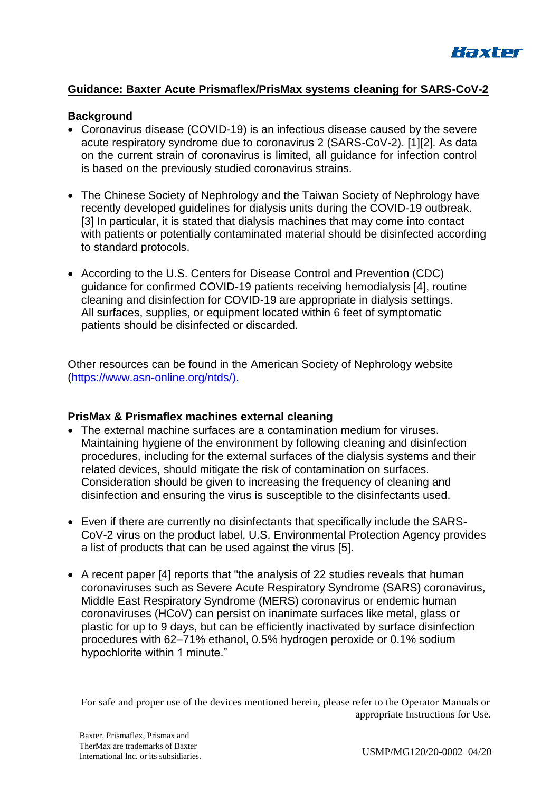

## **Guidance: Baxter Acute Prismaflex/PrisMax systems cleaning for SARS-CoV-2**

## **Background**

- Coronavirus disease (COVID-19) is an infectious disease caused by the severe acute respiratory syndrome due to coronavirus 2 (SARS-CoV-2). [1][2]. As data on the current strain of coronavirus is limited, all guidance for infection control is based on the previously studied coronavirus strains.
- The Chinese Society of Nephrology and the Taiwan Society of Nephrology have recently developed guidelines for dialysis units during the COVID-19 outbreak. [3] In particular, it is stated that dialysis machines that may come into contact with patients or potentially contaminated material should be disinfected according to standard protocols.
- According to the U.S. Centers for Disease Control and Prevention (CDC) guidance for confirmed COVID-19 patients receiving hemodialysis [4], routine cleaning and disinfection for COVID-19 are appropriate in dialysis settings. All surfaces, supplies, or equipment located within 6 feet of symptomatic patients should be disinfected or discarded.

Other resources can be found in the American Society of Nephrology website [\(https://www.asn-online.org/ntds/\)](https://www.asn-online.org/ntds/).).

## **PrisMax & Prismaflex machines external cleaning**

- The external machine surfaces are a contamination medium for viruses. Maintaining hygiene of the environment by following cleaning and disinfection procedures, including for the external surfaces of the dialysis systems and their related devices, should mitigate the risk of contamination on surfaces. Consideration should be given to increasing the frequency of cleaning and disinfection and ensuring the virus is susceptible to the disinfectants used.
- Even if there are currently no disinfectants that specifically include the SARS-CoV-2 virus on the product label, U.S. Environmental Protection Agency provides a list of products that can be used against the virus [5].
- A recent paper [4] reports that "the analysis of 22 studies reveals that human coronaviruses such as Severe Acute Respiratory Syndrome (SARS) coronavirus, Middle East Respiratory Syndrome (MERS) coronavirus or endemic human coronaviruses (HCoV) can persist on inanimate surfaces like metal, glass or plastic for up to 9 days, but can be efficiently inactivated by surface disinfection procedures with 62–71% ethanol, 0.5% hydrogen peroxide or 0.1% sodium hypochlorite within 1 minute."

For safe and proper use of the devices mentioned herein, please refer to the Operator Manuals or appropriate Instructions for Use.